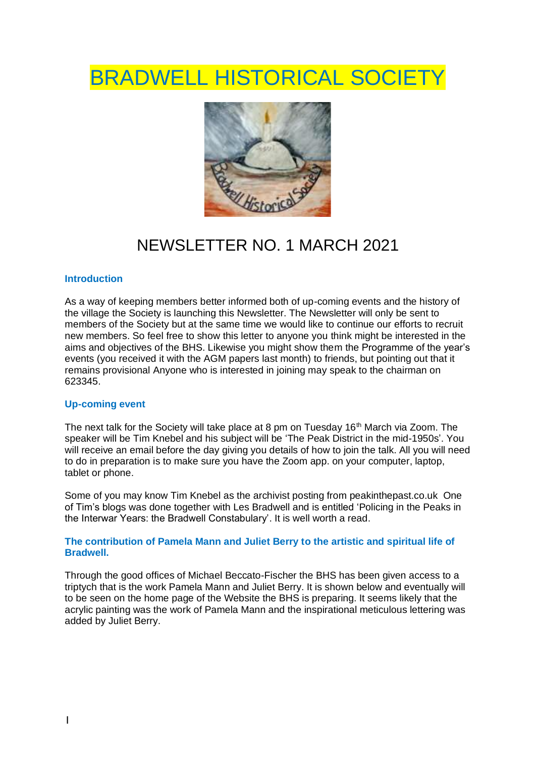# BRADWELL HISTORICAL SOCIET



# NEWSLETTER NO. 1 MARCH 2021

#### **Introduction**

As a way of keeping members better informed both of up-coming events and the history of the village the Society is launching this Newsletter. The Newsletter will only be sent to members of the Society but at the same time we would like to continue our efforts to recruit new members. So feel free to show this letter to anyone you think might be interested in the aims and objectives of the BHS. Likewise you might show them the Programme of the year's events (you received it with the AGM papers last month) to friends, but pointing out that it remains provisional Anyone who is interested in joining may speak to the chairman on 623345.

#### **Up-coming event**

The next talk for the Society will take place at 8 pm on Tuesday  $16<sup>th</sup>$  March via Zoom. The speaker will be Tim Knebel and his subject will be 'The Peak District in the mid-1950s'. You will receive an email before the day giving you details of how to join the talk. All you will need to do in preparation is to make sure you have the Zoom app. on your computer, laptop, tablet or phone.

Some of you may know Tim Knebel as the archivist posting from peakinthepast.co.uk One of Tim's blogs was done together with Les Bradwell and is entitled 'Policing in the Peaks in the Interwar Years: the Bradwell Constabulary'. It is well worth a read.

#### **The contribution of Pamela Mann and Juliet Berry to the artistic and spiritual life of Bradwell.**

Through the good offices of Michael Beccato-Fischer the BHS has been given access to a triptych that is the work Pamela Mann and Juliet Berry. It is shown below and eventually will to be seen on the home page of the Website the BHS is preparing. It seems likely that the acrylic painting was the work of Pamela Mann and the inspirational meticulous lettering was added by Juliet Berry.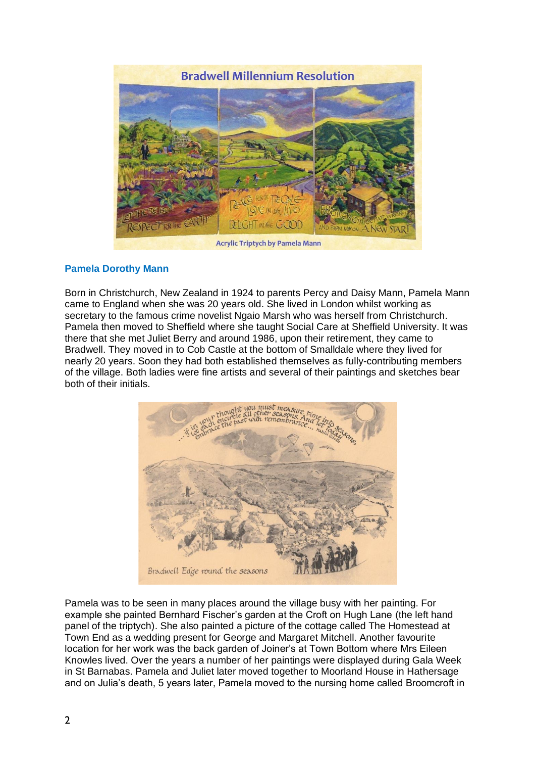

## **Pamela Dorothy Mann**

Born in Christchurch, New Zealand in 1924 to parents Percy and Daisy Mann, Pamela Mann came to England when she was 20 years old. She lived in London whilst working as secretary to the famous crime novelist Ngaio Marsh who was herself from Christchurch. Pamela then moved to Sheffield where she taught Social Care at Sheffield University. It was there that she met Juliet Berry and around 1986, upon their retirement, they came to Bradwell. They moved in to Cob Castle at the bottom of Smalldale where they lived for nearly 20 years. Soon they had both established themselves as fully-contributing members of the village. Both ladies were fine artists and several of their paintings and sketches bear both of their initials.



Pamela was to be seen in many places around the village busy with her painting. For example she painted Bernhard Fischer's garden at the Croft on Hugh Lane (the left hand panel of the triptych). She also painted a picture of the cottage called The Homestead at Town End as a wedding present for George and Margaret Mitchell. Another favourite location for her work was the back garden of Joiner's at Town Bottom where Mrs Eileen Knowles lived. Over the years a number of her paintings were displayed during Gala Week in St Barnabas. Pamela and Juliet later moved together to Moorland House in Hathersage and on Julia's death, 5 years later, Pamela moved to the nursing home called Broomcroft in